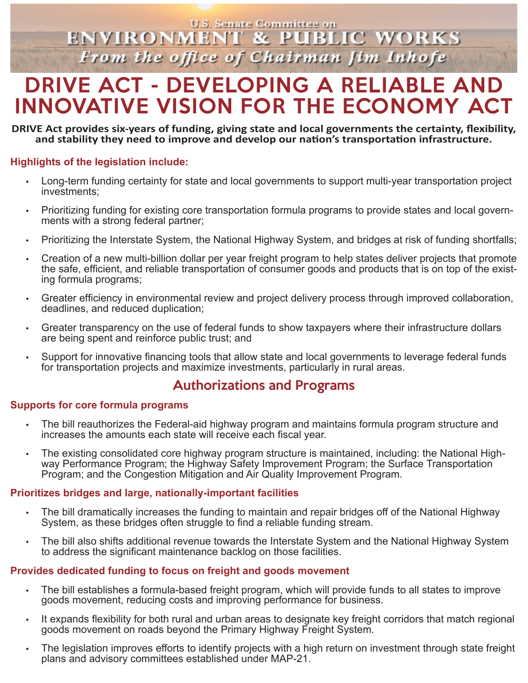**U.S. Senate Committee on ENVIRONMENT & PUBLIC WORKS** From the office of Chairman Jim Inhofe

# DRIVE ACT - DEVELOPING A RELIABLE AND INNOVATIVE VISION FOR THE ECONOMY ACT

#### **DRIVE Act provides six-years of funding, giving state and local governments the certainty, flexibility, and stability they need to improve and develop our nation's transportation infrastructure.**

#### **Highlights of the legislation include:**

- Long-term funding certainty for state and local governments to support multi-year transportation project investments;
- Prioritizing funding for existing core transportation formula programs to provide states and local govern- ments with a strong federal partner;
- Prioritizing the Interstate System, the National Highway System, and bridges at risk of funding shortfalls;
- Creation of a new multi-billion dollar per year freight program to help states deliver projects that promote the safe, efficient, and reliable transportation of consumer goods and products that is on top of the existing formula programs;
- Greater efficiency in environmental review and project delivery process through improved collaboration, deadlines, and reduced duplication;
- Greater transparency on the use of federal funds to show taxpayers where their infrastructure dollars are being spent and reinforce public trust; and
- Support for innovative financing tools that allow state and local governments to leverage federal funds for transportation projects and maximize investments, particularly in rural areas.

### Authorizations and Programs

#### **Supports for core formula programs**

- The bill reauthorizes the Federal-aid highway program and maintains formula program structure and increases the amounts each state will receive each fiscal year.
- The existing consolidated core highway program structure is maintained, including: the National Highway Performance Program; the Highway Safety Improvement Program; the Surface Transportation Program; and the Congestion Mitigation and Air Quality Improvement Program.

#### **Prioritizes bridges and large, nationally-important facilities**

- The bill dramatically increases the funding to maintain and repair bridges off of the National Highway System, as these bridges often struggle to find a reliable funding stream.
- The bill also shifts additional revenue towards the Interstate System and the National Highway System to address the significant maintenance backlog on those facilities.

#### **Provides dedicated funding to focus on freight and goods movement**

- The bill establishes a formula-based freight program, which will provide funds to all states to improve goods movement, reducing costs and improving performance for business.
- It expands flexibility for both rural and urban areas to designate key freight corridors that match regional goods movement on roads beyond the Primary Highway Freight System.
- The legislation improves efforts to identify projects with a high return on investment through state freight plans and advisory committees established under MAP-21.